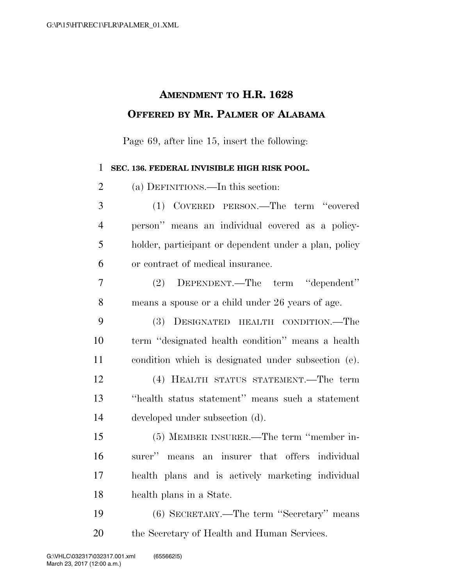## **AMENDMENT TO H.R. 1628 OFFERED BY MR. PALMER OF ALABAMA**

Page 69, after line 15, insert the following:

## **SEC. 136. FEDERAL INVISIBLE HIGH RISK POOL.**

 (a) DEFINITIONS.—In this section: (1) COVERED PERSON.—The term ''covered person'' means an individual covered as a policy- holder, participant or dependent under a plan, policy or contract of medical insurance. (2) DEPENDENT.—The term ''dependent'' means a spouse or a child under 26 years of age.

 (3) DESIGNATED HEALTH CONDITION.—The term ''designated health condition'' means a health condition which is designated under subsection (e). (4) HEALTH STATUS STATEMENT.—The term ''health status statement'' means such a statement developed under subsection (d).

 (5) MEMBER INSURER.—The term ''member in- surer'' means an insurer that offers individual health plans and is actively marketing individual health plans in a State.

 (6) SECRETARY.—The term ''Secretary'' means the Secretary of Health and Human Services.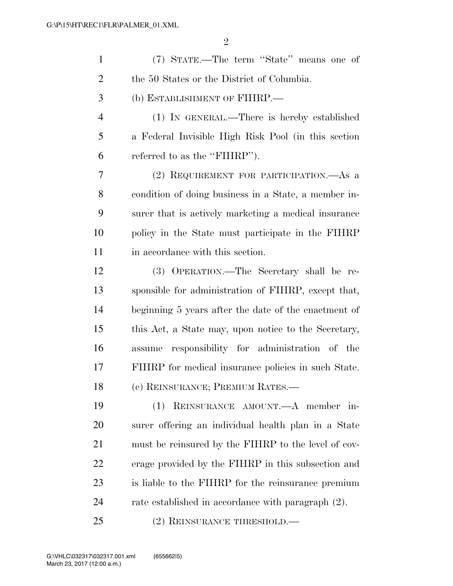| $\mathbf{1}$   | (7) STATE.—The term "State" means one of             |
|----------------|------------------------------------------------------|
| $\overline{2}$ | the 50 States or the District of Columbia.           |
| 3              | (b) ESTABLISHMENT OF FIHRP.—                         |
| $\overline{4}$ | (1) IN GENERAL.—There is hereby established          |
| 5              | a Federal Invisible High Risk Pool (in this section  |
| 6              | referred to as the "FIHRP").                         |
| 7              | (2) REQUIREMENT FOR PARTICIPATION.—As a              |
| 8              | condition of doing business in a State, a member in- |
| 9              | surer that is actively marketing a medical insurance |
| 10             | policy in the State must participate in the FIHRP    |
| 11             | in accordance with this section.                     |
| 12             | (3) OPERATION.—The Secretary shall be re-            |
| 13             | sponsible for administration of FIHRP, except that,  |
| 14             | beginning 5 years after the date of the enactment of |
| 15             | this Act, a State may, upon notice to the Secretary, |
| 16             | assume responsibility for administration of the      |
| 17             | FIHRP for medical insurance policies in such State.  |
| 18             | (c) REINSURANCE; PREMIUM RATES.—                     |
| 19             | (1) REINSURANCE AMOUNT. A member in-                 |
| 20             | surer offering an individual health plan in a State  |
| 21             | must be reinsured by the FIHRP to the level of cov-  |
| 22             | erage provided by the FIHRP in this subsection and   |
| 23             | is liable to the FIHRP for the reinsurance premium   |
| 24             | rate established in accordance with paragraph (2).   |
| 25             | (2) REINSURANCE THRESHOLD.—                          |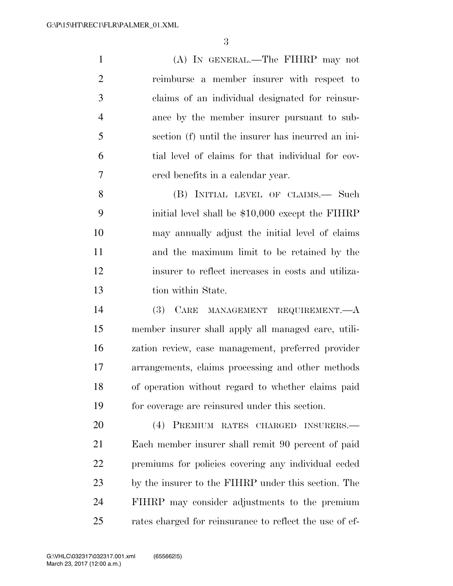(A) IN GENERAL.—The FIHRP may not reimburse a member insurer with respect to claims of an individual designated for reinsur- ance by the member insurer pursuant to sub- section (f) until the insurer has incurred an ini- tial level of claims for that individual for cov-ered benefits in a calendar year.

8 (B) INITIAL LEVEL OF CLAIMS.— Such initial level shall be \$10,000 except the FIHRP may annually adjust the initial level of claims and the maximum limit to be retained by the insurer to reflect increases in costs and utiliza-tion within State.

 (3) CARE MANAGEMENT REQUIREMENT.—A member insurer shall apply all managed care, utili- zation review, case management, preferred provider arrangements, claims processing and other methods of operation without regard to whether claims paid for coverage are reinsured under this section.

 (4) PREMIUM RATES CHARGED INSURERS.— Each member insurer shall remit 90 percent of paid premiums for policies covering any individual ceded by the insurer to the FIHRP under this section. The FIHRP may consider adjustments to the premium rates charged for reinsurance to reflect the use of ef-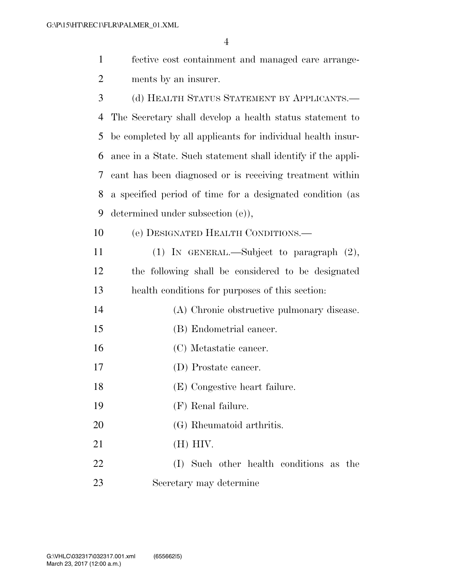| $\mathbf{1}$   | fective cost containment and managed care arrange-           |
|----------------|--------------------------------------------------------------|
| $\overline{2}$ | ments by an insurer.                                         |
| 3              | (d) HEALTH STATUS STATEMENT BY APPLICANTS.-                  |
| $\overline{4}$ | The Secretary shall develop a health status statement to     |
| 5              | be completed by all applicants for individual health insur-  |
| 6              | ance in a State. Such statement shall identify if the appli- |
| 7              | cant has been diagnosed or is receiving treatment within     |
| 8              | a specified period of time for a designated condition (as    |
| 9              | determined under subsection (e)),                            |
| 10             | (e) DESIGNATED HEALTH CONDITIONS.                            |
| 11             | (1) IN GENERAL.—Subject to paragraph $(2)$ ,                 |
| 12             | the following shall be considered to be designated           |
| 13             | health conditions for purposes of this section:              |
| 14             | (A) Chronic obstructive pulmonary disease.                   |
| 15             | (B) Endometrial cancer.                                      |
| 16             | (C) Metastatic cancer.                                       |
| 17             | (D) Prostate cancer.                                         |
| 18             | (E) Congestive heart failure.                                |
| 19             | $(F)$ Renal failure.                                         |
| 20             | (G) Rheumatoid arthritis.                                    |
| 21             | $(H)$ HIV.                                                   |
| 22             | (I) Such other health conditions as the                      |
| 23             | Secretary may determine                                      |
|                |                                                              |
|                |                                                              |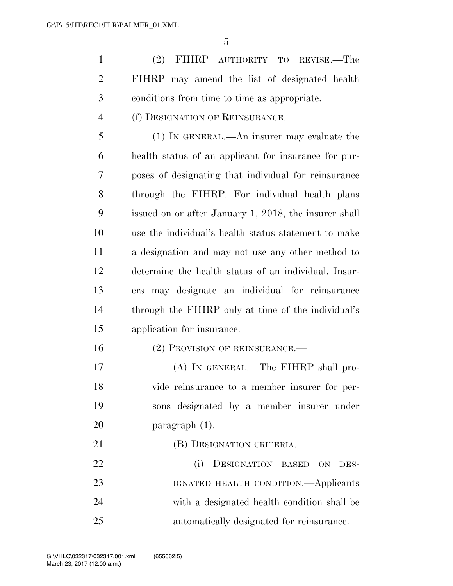(2) FIHRP AUTHORITY TO REVISE.—The FIHRP may amend the list of designated health conditions from time to time as appropriate.

(f) DESIGNATION OF REINSURANCE.—

 (1) IN GENERAL.—An insurer may evaluate the health status of an applicant for insurance for pur- poses of designating that individual for reinsurance through the FIHRP. For individual health plans issued on or after January 1, 2018, the insurer shall use the individual's health status statement to make a designation and may not use any other method to determine the health status of an individual. Insur- ers may designate an individual for reinsurance through the FIHRP only at time of the individual's application for insurance.

16 (2) PROVISION OF REINSURANCE.—

 (A) IN GENERAL.—The FIHRP shall pro- vide reinsurance to a member insurer for per- sons designated by a member insurer under paragraph (1).

21 (B) DESIGNATION CRITERIA. (i) DESIGNATION BASED ON DES- IGNATED HEALTH CONDITION.—Applicants with a designated health condition shall be automatically designated for reinsurance.